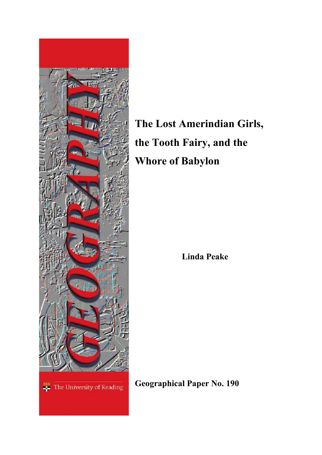

**The Lost Amerindian Girls, the Tooth Fairy, and the Whore of Babylon** 

**Linda Peake**

**Geographical Paper No. 190**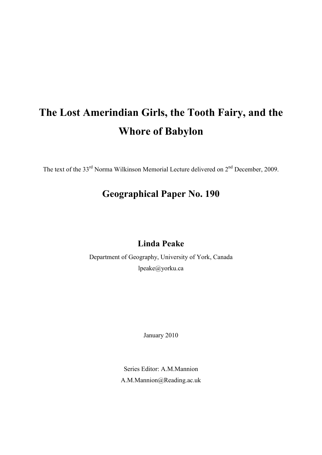# **The Lost Amerindian Girls, the Tooth Fairy, and the Whore of Babylon**

The text of the 33<sup>rd</sup> Norma Wilkinson Memorial Lecture delivered on 2<sup>nd</sup> December, 2009.

# **Geographical Paper No. 190**

## **Linda Peake**

Department of Geography, University of York, Canada lpeake@yorku.ca

January 2010

Series Editor: A.M.Mannion A.M.Mannion@Reading.ac.uk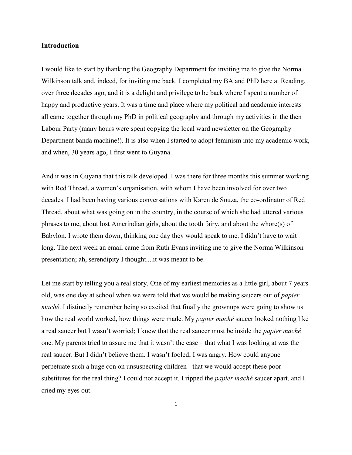#### **Introduction**

I would like to start by thanking the Geography Department for inviting me to give the Norma Wilkinson talk and, indeed, for inviting me back. I completed my BA and PhD here at Reading, over three decades ago, and it is a delight and privilege to be back where I spent a number of happy and productive years. It was a time and place where my political and academic interests all came together through my PhD in political geography and through my activities in the then Labour Party (many hours were spent copying the local ward newsletter on the Geography Department banda machine!). It is also when I started to adopt feminism into my academic work, and when, 30 years ago, I first went to Guyana.

And it was in Guyana that this talk developed. I was there for three months this summer working with Red Thread, a women"s organisation, with whom I have been involved for over two decades. I had been having various conversations with Karen de Souza, the co-ordinator of Red Thread, about what was going on in the country, in the course of which she had uttered various phrases to me, about lost Amerindian girls, about the tooth fairy, and about the whore(s) of Babylon. I wrote them down, thinking one day they would speak to me. I didn"t have to wait long. The next week an email came from Ruth Evans inviting me to give the Norma Wilkinson presentation; ah, serendipity I thought....it was meant to be.

Let me start by telling you a real story. One of my earliest memories as a little girl, about 7 years old, was one day at school when we were told that we would be making saucers out of *papier maché*. I distinctly remember being so excited that finally the grownups were going to show us how the real world worked, how things were made. My *papier maché* saucer looked nothing like a real saucer but I wasn"t worried; I knew that the real saucer must be inside the *papier maché* one. My parents tried to assure me that it wasn"t the case – that what I was looking at was the real saucer. But I didn"t believe them. I wasn"t fooled; I was angry. How could anyone perpetuate such a huge con on unsuspecting children - that we would accept these poor substitutes for the real thing? I could not accept it. I ripped the *papier maché* saucer apart, and I cried my eyes out.

1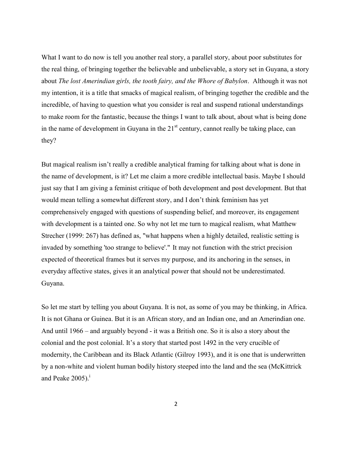What I want to do now is tell you another real story, a parallel story, about poor substitutes for the real thing, of bringing together the believable and unbelievable, a story set in Guyana, a story about *The lost Amerindian girls, the tooth fairy, and the Whore of Babylon*. Although it was not my intention, it is a title that smacks of magical realism, of bringing together the credible and the incredible, of having to question what you consider is real and suspend rational understandings to make room for the fantastic, because the things I want to talk about, about what is being done in the name of development in Guyana in the  $21<sup>st</sup>$  century, cannot really be taking place, can they?

But magical realism isn"t really a credible analytical framing for talking about what is done in the name of development, is it? Let me claim a more credible intellectual basis. Maybe I should just say that I am giving a feminist critique of both development and post development. But that would mean telling a somewhat different story, and I don"t think feminism has yet comprehensively engaged with questions of suspending belief, and moreover, its engagement with development is a tainted one. So why not let me turn to magical realism, what Matthew Strecher (1999: 267) has defined as, "what happens when a highly detailed, realistic setting is invaded by something 'too strange to believe'." It may not function with the strict precision expected of theoretical frames but it serves my purpose, and its anchoring in the senses, in everyday affective states, gives it an analytical power that should not be underestimated. Guyana.

So let me start by telling you about Guyana. It is not, as some of you may be thinking, in Africa. It is not Ghana or Guinea. But it is an African story, and an Indian one, and an Amerindian one. And until 1966 – and arguably beyond - it was a British one. So it is also a story about the colonial and the post colonial. It"s a story that started post 1492 in the very crucible of modernity, the Caribbean and its Black Atlantic (Gilroy 1993), and it is one that is underwritten by a non-white and violent human bodily history steeped into the land and the sea (McKittrick and Peake  $2005$ ).<sup>i</sup>

2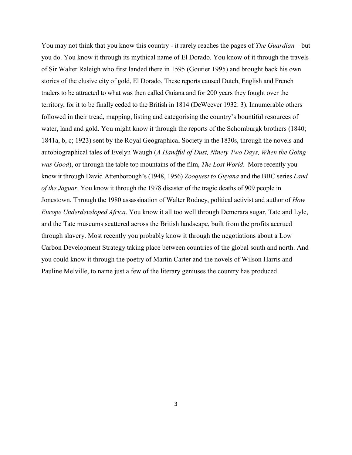You may not think that you know this country - it rarely reaches the pages of *The Guardian* – but you do. You know it through its mythical name of El Dorado. You know of it through the travels of Sir Walter Raleigh who first landed there in 1595 (Goutier 1995) and brought back his own stories of the elusive city of gold, El Dorado. These reports caused Dutch, English and French traders to be attracted to what was then called Guiana and for 200 years they fought over the territory, for it to be finally ceded to the British in 1814 (DeWeever 1932: 3). Innumerable others followed in their tread, mapping, listing and categorising the country's bountiful resources of water, land and gold. You might know it through the reports of the Schomburgk brothers (1840; 1841a, b, c; 1923) sent by the Royal Geographical Society in the 1830s, through the novels and autobiographical tales of Evelyn Waugh (*A Handful of Dust, Ninety Two Days, When the Going was Good*), or through the table top mountains of the film, *The Lost World*. More recently you know it through David Attenborough"s (1948, 1956) *Zooquest to Guyana* and the BBC series *Land of the Jaguar*. You know it through the 1978 disaster of the tragic deaths of 909 people in Jonestown. Through the 1980 assassination of Walter Rodney, political activist and author of *How Europe Underdeveloped Africa*. You know it all too well through Demerara sugar, Tate and Lyle, and the Tate museums scattered across the British landscape, built from the profits accrued through slavery. Most recently you probably know it through the negotiations about a Low Carbon Development Strategy taking place between countries of the global south and north. And you could know it through the poetry of Martin Carter and the novels of Wilson Harris and Pauline Melville, to name just a few of the literary geniuses the country has produced.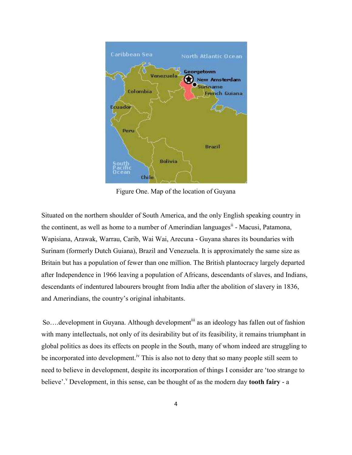

Figure One. Map of the location of Guyana

Situated on the northern shoulder of South America, and the only English speaking country in the continent, as well as home to a number of Amerindian languages<sup>ii</sup> - Macusi, Patamona, Wapisiana, Arawak, Warrau, Carib, Wai Wai, Arecuna - Guyana shares its boundaries with Surinam (formerly Dutch Guiana), Brazil and Venezuela. It is approximately the same size as Britain but has a population of fewer than one million. The British plantocracy largely departed after Independence in 1966 leaving a population of Africans, descendants of slaves, and Indians, descendants of indentured labourers brought from India after the abolition of slavery in 1836, and Amerindians, the country"s original inhabitants.

So....development in Guyana. Although development<sup>iii</sup> as an ideology has fallen out of fashion with many intellectuals, not only of its desirability but of its feasibility, it remains triumphant in global politics as does its effects on people in the South, many of whom indeed are struggling to be incorporated into development.<sup>iv</sup> This is also not to deny that so many people still seem to need to believe in development, despite its incorporation of things I consider are "too strange to believe'.<sup>V</sup> Development, in this sense, can be thought of as the modern day **tooth fairy** - a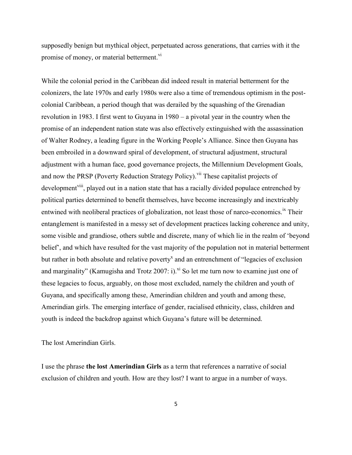supposedly benign but mythical object, perpetuated across generations, that carries with it the promise of money, or material betterment.<sup>vi</sup>

While the colonial period in the Caribbean did indeed result in material betterment for the colonizers, the late 1970s and early 1980s were also a time of tremendous optimism in the postcolonial Caribbean, a period though that was derailed by the squashing of the Grenadian revolution in 1983. I first went to Guyana in 1980 – a pivotal year in the country when the promise of an independent nation state was also effectively extinguished with the assassination of Walter Rodney, a leading figure in the Working People"s Alliance. Since then Guyana has been embroiled in a downward spiral of development, of structural adjustment, structural adjustment with a human face, good governance projects, the Millennium Development Goals, and now the PRSP (Poverty Reduction Strategy Policy).<sup>vii</sup> These capitalist projects of development<sup>viii</sup>, played out in a nation state that has a racially divided populace entrenched by political parties determined to benefit themselves, have become increasingly and inextricably entwined with neoliberal practices of globalization, not least those of narco-economics.<sup>ix</sup> Their entanglement is manifested in a messy set of development practices lacking coherence and unity, some visible and grandiose, others subtle and discrete, many of which lie in the realm of "beyond belief", and which have resulted for the vast majority of the population not in material betterment but rather in both absolute and relative poverty<sup>x</sup> and an entrenchment of "legacies of exclusion and marginality" (Kamugisha and Trotz 2007: i).<sup>xi</sup> So let me turn now to examine just one of these legacies to focus, arguably, on those most excluded, namely the children and youth of Guyana, and specifically among these, Amerindian children and youth and among these, Amerindian girls. The emerging interface of gender, racialised ethnicity, class, children and youth is indeed the backdrop against which Guyana"s future will be determined.

The lost Amerindian Girls.

I use the phrase **the lost Amerindian Girls** as a term that references a narrative of social exclusion of children and youth. How are they lost? I want to argue in a number of ways.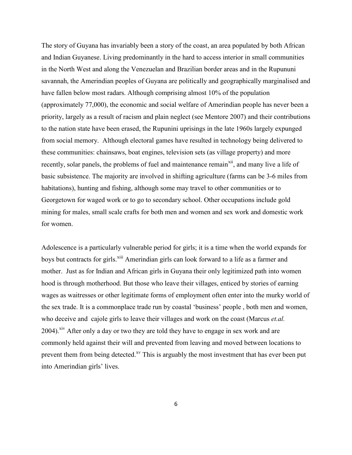The story of Guyana has invariably been a story of the coast, an area populated by both African and Indian Guyanese. Living predominantly in the hard to access interior in small communities in the North West and along the Venezuelan and Brazilian border areas and in the Rupununi savannah, the Amerindian peoples of Guyana are politically and geographically marginalised and have fallen below most radars. Although comprising almost 10% of the population (approximately 77,000), the economic and social welfare of Amerindian people has never been a priority, largely as a result of racism and plain neglect (see Mentore 2007) and their contributions to the nation state have been erased, the Rupunini uprisings in the late 1960s largely expunged from social memory. Although electoral games have resulted in technology being delivered to these communities: chainsaws, boat engines, television sets (as village property) and more recently, solar panels, the problems of fuel and maintenance remain<sup>xii</sup>, and many live a life of basic subsistence. The majority are involved in shifting agriculture (farms can be 3-6 miles from habitations), hunting and fishing, although some may travel to other communities or to Georgetown for waged work or to go to secondary school. Other occupations include gold mining for males, small scale crafts for both men and women and sex work and domestic work for women.

Adolescence is a particularly vulnerable period for girls; it is a time when the world expands for boys but contracts for girls.<sup>xiii</sup> Amerindian girls can look forward to a life as a farmer and mother. Just as for Indian and African girls in Guyana their only legitimized path into women hood is through motherhood. But those who leave their villages, enticed by stories of earning wages as waitresses or other legitimate forms of employment often enter into the murky world of the sex trade. It is a commonplace trade run by coastal "business" people , both men and women, who deceive and cajole girls to leave their villages and work on the coast (Marcus *et.al.* 2004).<sup>xiv</sup> After only a day or two they are told they have to engage in sex work and are commonly held against their will and prevented from leaving and moved between locations to prevent them from being detected.<sup>xv</sup> This is arguably the most investment that has ever been put into Amerindian girls' lives.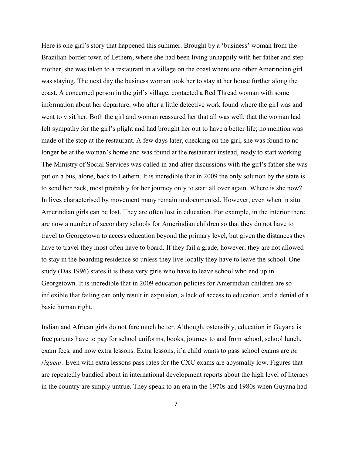Here is one girl's story that happened this summer. Brought by a 'business' woman from the Brazilian border town of Lethem, where she had been living unhappily with her father and stepmother, she was taken to a restaurant in a village on the coast where one other Amerindian girl was staying. The next day the business woman took her to stay at her house further along the coast. A concerned person in the girl"s village, contacted a Red Thread woman with some information about her departure, who after a little detective work found where the girl was and went to visit her. Both the girl and woman reassured her that all was well, that the woman had felt sympathy for the girl"s plight and had brought her out to have a better life; no mention was made of the stop at the restaurant. A few days later, checking on the girl, she was found to no longer be at the woman's home and was found at the restaurant instead, ready to start working. The Ministry of Social Services was called in and after discussions with the girl"s father she was put on a bus, alone, back to Lethem. It is incredible that in 2009 the only solution by the state is to send her back, most probably for her journey only to start all over again. Where is she now? In lives characterised by movement many remain undocumented. However, even when in situ Amerindian girls can be lost. They are often lost in education. For example, in the interior there are now a number of secondary schools for Amerindian children so that they do not have to travel to Georgetown to access education beyond the primary level, but given the distances they have to travel they most often have to board. If they fail a grade, however, they are not allowed to stay in the boarding residence so unless they live locally they have to leave the school. One study (Das 1996) states it is these very girls who have to leave school who end up in Georgetown. It is incredible that in 2009 education policies for Amerindian children are so inflexible that failing can only result in expulsion, a lack of access to education, and a denial of a basic human right.

Indian and African girls do not fare much better. Although, ostensibly, education in Guyana is free parents have to pay for school uniforms, books, journey to and from school, school lunch, exam fees, and now extra lessons. Extra lessons, if a child wants to pass school exams are *de rigueur*. Even with extra lessons pass rates for the CXC exams are abysmally low. Figures that are repeatedly bandied about in international development reports about the high level of literacy in the country are simply untrue. They speak to an era in the 1970s and 1980s when Guyana had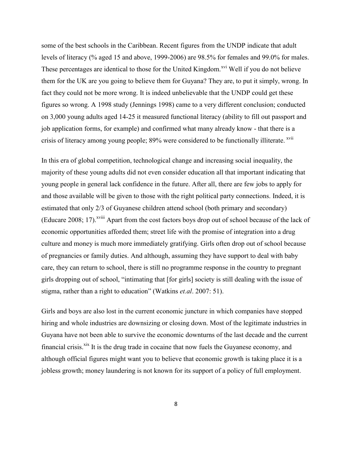some of the best schools in the Caribbean. Recent figures from the UNDP indicate that adult levels of literacy (% aged 15 and above, 1999-2006) are 98.5% for females and 99.0% for males. These percentages are identical to those for the United Kingdom.<sup>xvi</sup> Well if you do not believe them for the UK are you going to believe them for Guyana? They are, to put it simply, wrong. In fact they could not be more wrong. It is indeed unbelievable that the UNDP could get these figures so wrong. A 1998 study (Jennings 1998) came to a very different conclusion; conducted on 3,000 young adults aged 14-25 it measured functional literacy (ability to fill out passport and job application forms, for example) and confirmed what many already know - that there is a crisis of literacy among young people; 89% were considered to be functionally illiterate. <sup>xvii</sup>

In this era of global competition, technological change and increasing social inequality, the majority of these young adults did not even consider education all that important indicating that young people in general lack confidence in the future. After all, there are few jobs to apply for and those available will be given to those with the right political party connections. Indeed, it is estimated that only 2/3 of Guyanese children attend school (both primary and secondary) (Educare 2008; 17).<sup>xviii</sup> Apart from the cost factors boys drop out of school because of the lack of economic opportunities afforded them; street life with the promise of integration into a drug culture and money is much more immediately gratifying. Girls often drop out of school because of pregnancies or family duties. And although, assuming they have support to deal with baby care, they can return to school, there is still no programme response in the country to pregnant girls dropping out of school, "intimating that [for girls] society is still dealing with the issue of stigma, rather than a right to education" (Watkins *et.al*. 2007: 51).

Girls and boys are also lost in the current economic juncture in which companies have stopped hiring and whole industries are downsizing or closing down. Most of the legitimate industries in Guyana have not been able to survive the economic downturns of the last decade and the current financial crisis.<sup>xix</sup> It is the drug trade in cocaine that now fuels the Guyanese economy, and although official figures might want you to believe that economic growth is taking place it is a jobless growth; money laundering is not known for its support of a policy of full employment.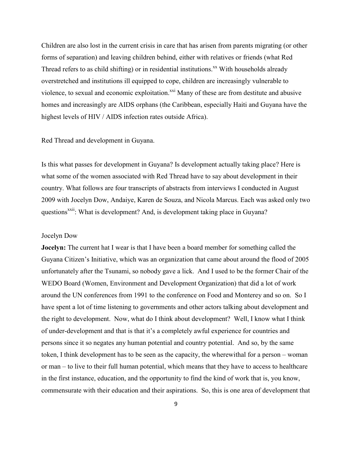Children are also lost in the current crisis in care that has arisen from parents migrating (or other forms of separation) and leaving children behind, either with relatives or friends (what Red Thread refers to as child shifting) or in residential institutions.<sup>xx</sup> With households already overstretched and institutions ill equipped to cope, children are increasingly vulnerable to violence, to sexual and economic exploitation.<sup>xxi</sup> Many of these are from destitute and abusive homes and increasingly are AIDS orphans (the Caribbean, especially Haiti and Guyana have the highest levels of HIV / AIDS infection rates outside Africa).

#### Red Thread and development in Guyana.

Is this what passes for development in Guyana? Is development actually taking place? Here is what some of the women associated with Red Thread have to say about development in their country. What follows are four transcripts of abstracts from interviews I conducted in August 2009 with Jocelyn Dow, Andaiye, Karen de Souza, and Nicola Marcus. Each was asked only two questions<sup>xxii</sup>: What is development? And, is development taking place in Guyana?

#### Jocelyn Dow

**Jocelyn:** The current hat I wear is that I have been a board member for something called the Guyana Citizen's Initiative, which was an organization that came about around the flood of 2005 unfortunately after the Tsunami, so nobody gave a lick. And I used to be the former Chair of the WEDO Board (Women, Environment and Development Organization) that did a lot of work around the UN conferences from 1991 to the conference on Food and Monterey and so on. So I have spent a lot of time listening to governments and other actors talking about development and the right to development. Now, what do I think about development? Well, I know what I think of under-development and that is that it"s a completely awful experience for countries and persons since it so negates any human potential and country potential. And so, by the same token, I think development has to be seen as the capacity, the wherewithal for a person – woman or man – to live to their full human potential, which means that they have to access to healthcare in the first instance, education, and the opportunity to find the kind of work that is, you know, commensurate with their education and their aspirations. So, this is one area of development that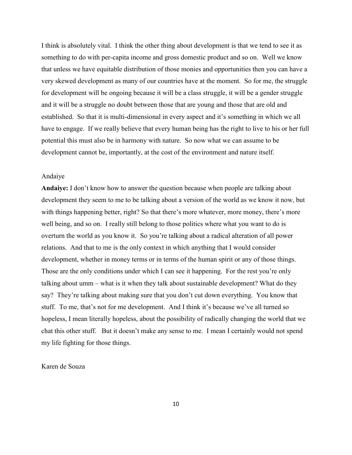I think is absolutely vital. I think the other thing about development is that we tend to see it as something to do with per-capita income and gross domestic product and so on. Well we know that unless we have equitable distribution of those monies and opportunities then you can have a very skewed development as many of our countries have at the moment. So for me, the struggle for development will be ongoing because it will be a class struggle, it will be a gender struggle and it will be a struggle no doubt between those that are young and those that are old and established. So that it is multi-dimensional in every aspect and it's something in which we all have to engage. If we really believe that every human being has the right to live to his or her full potential this must also be in harmony with nature. So now what we can assume to be development cannot be, importantly, at the cost of the environment and nature itself.

#### Andaiye

**Andaiye:** I don't know how to answer the question because when people are talking about development they seem to me to be talking about a version of the world as we know it now, but with things happening better, right? So that there's more whatever, more money, there's more well being, and so on. I really still belong to those politics where what you want to do is overturn the world as you know it. So you"re talking about a radical alteration of all power relations. And that to me is the only context in which anything that I would consider development, whether in money terms or in terms of the human spirit or any of those things. Those are the only conditions under which I can see it happening. For the rest you"re only talking about umm – what is it when they talk about sustainable development? What do they say? They're talking about making sure that you don't cut down everything. You know that stuff. To me, that's not for me development. And I think it's because we've all turned so hopeless, I mean literally hopeless, about the possibility of radically changing the world that we chat this other stuff. But it doesn"t make any sense to me. I mean I certainly would not spend my life fighting for those things.

### Karen de Souza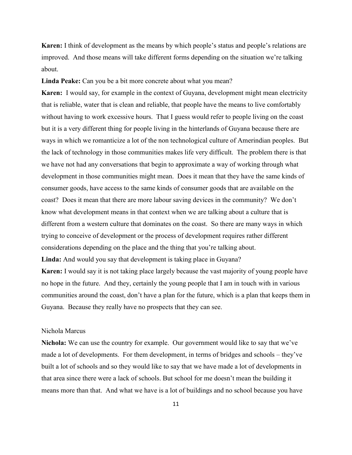**Karen:** I think of development as the means by which people's status and people's relations are improved. And those means will take different forms depending on the situation we"re talking about.

Linda Peake: Can you be a bit more concrete about what you mean?

**Karen:** I would say, for example in the context of Guyana, development might mean electricity that is reliable, water that is clean and reliable, that people have the means to live comfortably without having to work excessive hours. That I guess would refer to people living on the coast but it is a very different thing for people living in the hinterlands of Guyana because there are ways in which we romanticize a lot of the non technological culture of Amerindian peoples. But the lack of technology in those communities makes life very difficult. The problem there is that we have not had any conversations that begin to approximate a way of working through what development in those communities might mean. Does it mean that they have the same kinds of consumer goods, have access to the same kinds of consumer goods that are available on the coast? Does it mean that there are more labour saving devices in the community? We don"t know what development means in that context when we are talking about a culture that is different from a western culture that dominates on the coast. So there are many ways in which trying to conceive of development or the process of development requires rather different considerations depending on the place and the thing that you"re talking about. **Linda:** And would you say that development is taking place in Guyana?

**Karen:** I would say it is not taking place largely because the vast majority of young people have no hope in the future. And they, certainly the young people that I am in touch with in various communities around the coast, don"t have a plan for the future, which is a plan that keeps them in Guyana. Because they really have no prospects that they can see.

#### Nichola Marcus

**Nichola:** We can use the country for example. Our government would like to say that we"ve made a lot of developments. For them development, in terms of bridges and schools – they"ve built a lot of schools and so they would like to say that we have made a lot of developments in that area since there were a lack of schools. But school for me doesn"t mean the building it means more than that. And what we have is a lot of buildings and no school because you have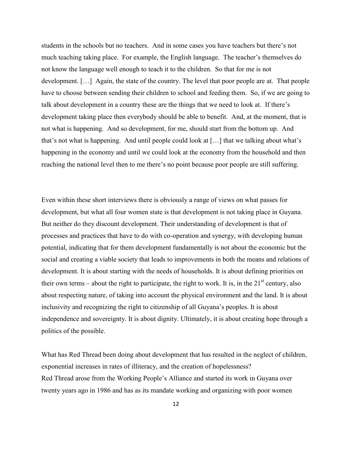students in the schools but no teachers. And in some cases you have teachers but there"s not much teaching taking place. For example, the English language. The teacher"s themselves do not know the language well enough to teach it to the children. So that for me is not development. […] Again, the state of the country. The level that poor people are at. That people have to choose between sending their children to school and feeding them. So, if we are going to talk about development in a country these are the things that we need to look at. If there"s development taking place then everybody should be able to benefit. And, at the moment, that is not what is happening. And so development, for me, should start from the bottom up. And that"s not what is happening. And until people could look at […] that we talking about what"s happening in the economy and until we could look at the economy from the household and then reaching the national level then to me there"s no point because poor people are still suffering.

Even within these short interviews there is obviously a range of views on what passes for development, but what all four women state is that development is not taking place in Guyana. But neither do they discount development. Their understanding of development is that of processes and practices that have to do with co-operation and synergy, with developing human potential, indicating that for them development fundamentally is not about the economic but the social and creating a viable society that leads to improvements in both the means and relations of development. It is about starting with the needs of households. It is about defining priorities on their own terms – about the right to participate, the right to work. It is, in the  $21<sup>st</sup>$  century, also about respecting nature, of taking into account the physical environment and the land. It is about inclusivity and recognizing the right to citizenship of all Guyana"s peoples. It is about independence and sovereignty. It is about dignity. Ultimately, it is about creating hope through a politics of the possible.

What has Red Thread been doing about development that has resulted in the neglect of children, exponential increases in rates of illiteracy, and the creation of hopelessness? Red Thread arose from the Working People"s Alliance and started its work in Guyana over twenty years ago in 1986 and has as its mandate working and organizing with poor women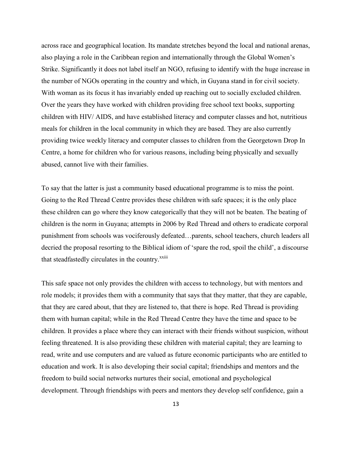across race and geographical location. Its mandate stretches beyond the local and national arenas, also playing a role in the Caribbean region and internationally through the Global Women"s Strike. Significantly it does not label itself an NGO, refusing to identify with the huge increase in the number of NGOs operating in the country and which, in Guyana stand in for civil society. With woman as its focus it has invariably ended up reaching out to socially excluded children. Over the years they have worked with children providing free school text books, supporting children with HIV/ AIDS, and have established literacy and computer classes and hot, nutritious meals for children in the local community in which they are based. They are also currently providing twice weekly literacy and computer classes to children from the Georgetown Drop In Centre, a home for children who for various reasons, including being physically and sexually abused, cannot live with their families.

To say that the latter is just a community based educational programme is to miss the point. Going to the Red Thread Centre provides these children with safe spaces; it is the only place these children can go where they know categorically that they will not be beaten. The beating of children is the norm in Guyana; attempts in 2006 by Red Thread and others to eradicate corporal punishment from schools was vociferously defeated…parents, school teachers, church leaders all decried the proposal resorting to the Biblical idiom of "spare the rod, spoil the child", a discourse that steadfastedly circulates in the country.<sup>xxiii</sup>

This safe space not only provides the children with access to technology, but with mentors and role models; it provides them with a community that says that they matter, that they are capable, that they are cared about, that they are listened to, that there is hope. Red Thread is providing them with human capital; while in the Red Thread Centre they have the time and space to be children. It provides a place where they can interact with their friends without suspicion, without feeling threatened. It is also providing these children with material capital; they are learning to read, write and use computers and are valued as future economic participants who are entitled to education and work. It is also developing their social capital; friendships and mentors and the freedom to build social networks nurtures their social, emotional and psychological development. Through friendships with peers and mentors they develop self confidence, gain a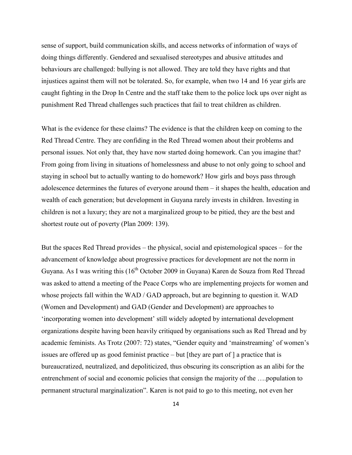sense of support, build communication skills, and access networks of information of ways of doing things differently. Gendered and sexualised stereotypes and abusive attitudes and behaviours are challenged: bullying is not allowed. They are told they have rights and that injustices against them will not be tolerated. So, for example, when two 14 and 16 year girls are caught fighting in the Drop In Centre and the staff take them to the police lock ups over night as punishment Red Thread challenges such practices that fail to treat children as children.

What is the evidence for these claims? The evidence is that the children keep on coming to the Red Thread Centre. They are confiding in the Red Thread women about their problems and personal issues. Not only that, they have now started doing homework. Can you imagine that? From going from living in situations of homelessness and abuse to not only going to school and staying in school but to actually wanting to do homework? How girls and boys pass through adolescence determines the futures of everyone around them – it shapes the health, education and wealth of each generation; but development in Guyana rarely invests in children. Investing in children is not a luxury; they are not a marginalized group to be pitied, they are the best and shortest route out of poverty (Plan 2009: 139).

But the spaces Red Thread provides – the physical, social and epistemological spaces – for the advancement of knowledge about progressive practices for development are not the norm in Guyana. As I was writing this (16<sup>th</sup> October 2009 in Guyana) Karen de Souza from Red Thread was asked to attend a meeting of the Peace Corps who are implementing projects for women and whose projects fall within the WAD / GAD approach, but are beginning to question it. WAD (Women and Development) and GAD (Gender and Development) are approaches to "incorporating women into development" still widely adopted by international development organizations despite having been heavily critiqued by organisations such as Red Thread and by academic feminists. As Trotz (2007: 72) states, "Gender equity and 'mainstreaming' of women's issues are offered up as good feminist practice – but [they are part of ] a practice that is bureaucratized, neutralized, and depoliticized, thus obscuring its conscription as an alibi for the entrenchment of social and economic policies that consign the majority of the ….population to permanent structural marginalization". Karen is not paid to go to this meeting, not even her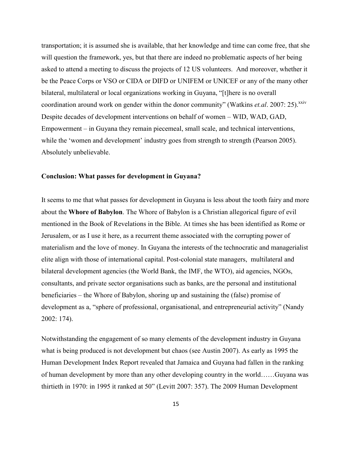transportation; it is assumed she is available, that her knowledge and time can come free, that she will question the framework, yes, but that there are indeed no problematic aspects of her being asked to attend a meeting to discuss the projects of 12 US volunteers. And moreover, whether it be the Peace Corps or VSO or CIDA or DIFD or UNIFEM or UNICEF or any of the many other bilateral, multilateral or local organizations working in Guyana, "[t]here is no overall coordination around work on gender within the donor community" (Watkins *et.al.* 2007: 25).<sup>xxiv</sup> Despite decades of development interventions on behalf of women – WID, WAD, GAD, Empowerment – in Guyana they remain piecemeal, small scale, and technical interventions, while the 'women and development' industry goes from strength to strength (Pearson 2005). Absolutely unbelievable.

#### **Conclusion: What passes for development in Guyana?**

It seems to me that what passes for development in Guyana is less about the tooth fairy and more about the **Whore of Babylon**. The Whore of Babylon is a Christian allegorical figure of evil mentioned in the Book of Revelations in the Bible. At times she has been identified as Rome or Jerusalem, or as I use it here, as a recurrent theme associated with the corrupting power of materialism and the love of money. In Guyana the interests of the technocratic and managerialist elite align with those of international capital. Post-colonial state managers, multilateral and bilateral development agencies (the World Bank, the IMF, the WTO), aid agencies, NGOs, consultants, and private sector organisations such as banks, are the personal and institutional beneficiaries – the Whore of Babylon, shoring up and sustaining the (false) promise of development as a, "sphere of professional, organisational, and entrepreneurial activity" (Nandy 2002: 174).

Notwithstanding the engagement of so many elements of the development industry in Guyana what is being produced is not development but chaos (see Austin 2007). As early as 1995 the Human Development Index Report revealed that Jamaica and Guyana had fallen in the ranking of human development by more than any other developing country in the world……Guyana was thirtieth in 1970: in 1995 it ranked at 50" (Levitt 2007: 357). The 2009 Human Development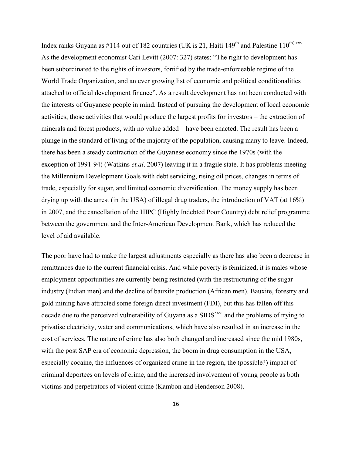Index ranks Guyana as #114 out of 182 countries (UK is 21, Haiti 149<sup>th</sup> and Palestine 110<sup>th).xxv</sup> As the development economist Cari Levitt (2007: 327) states: "The right to development has been subordinated to the rights of investors, fortified by the trade-enforceable regime of the World Trade Organization, and an ever growing list of economic and political conditionalities attached to official development finance". As a result development has not been conducted with the interests of Guyanese people in mind. Instead of pursuing the development of local economic activities, those activities that would produce the largest profits for investors – the extraction of minerals and forest products, with no value added – have been enacted. The result has been a plunge in the standard of living of the majority of the population, causing many to leave. Indeed, there has been a steady contraction of the Guyanese economy since the 1970s (with the exception of 1991-94) (Watkins *et.al*. 2007) leaving it in a fragile state. It has problems meeting the Millennium Development Goals with debt servicing, rising oil prices, changes in terms of trade, especially for sugar, and limited economic diversification. The money supply has been drying up with the arrest (in the USA) of illegal drug traders, the introduction of VAT (at 16%) in 2007, and the cancellation of the HIPC (Highly Indebted Poor Country) debt relief programme between the government and the Inter-American Development Bank, which has reduced the level of aid available.

The poor have had to make the largest adjustments especially as there has also been a decrease in remittances due to the current financial crisis. And while poverty is feminized, it is males whose employment opportunities are currently being restricted (with the restructuring of the sugar industry (Indian men) and the decline of bauxite production (African men). Bauxite, forestry and gold mining have attracted some foreign direct investment (FDI), but this has fallen off this decade due to the perceived vulnerability of Guyana as a SIDS<sup>xxvi</sup> and the problems of trying to privatise electricity, water and communications, which have also resulted in an increase in the cost of services. The nature of crime has also both changed and increased since the mid 1980s, with the post SAP era of economic depression, the boom in drug consumption in the USA, especially cocaine, the influences of organized crime in the region, the (possible?) impact of criminal deportees on levels of crime, and the increased involvement of young people as both victims and perpetrators of violent crime (Kambon and Henderson 2008).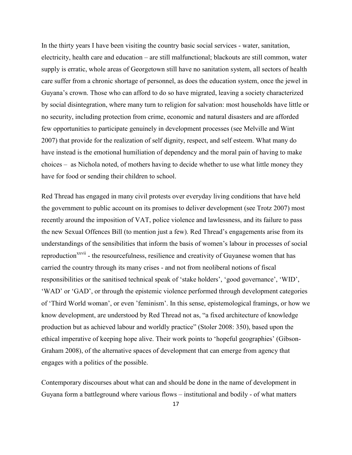In the thirty years I have been visiting the country basic social services - water, sanitation, electricity, health care and education – are still malfunctional; blackouts are still common, water supply is erratic, whole areas of Georgetown still have no sanitation system, all sectors of health care suffer from a chronic shortage of personnel, as does the education system, once the jewel in Guyana"s crown. Those who can afford to do so have migrated, leaving a society characterized by social disintegration, where many turn to religion for salvation: most households have little or no security, including protection from crime, economic and natural disasters and are afforded few opportunities to participate genuinely in development processes (see Melville and Wint 2007) that provide for the realization of self dignity, respect, and self esteem. What many do have instead is the emotional humiliation of dependency and the moral pain of having to make choices – as Nichola noted, of mothers having to decide whether to use what little money they have for food or sending their children to school.

Red Thread has engaged in many civil protests over everyday living conditions that have held the government to public account on its promises to deliver development (see Trotz 2007) most recently around the imposition of VAT, police violence and lawlessness, and its failure to pass the new Sexual Offences Bill (to mention just a few). Red Thread"s engagements arise from its understandings of the sensibilities that inform the basis of women"s labour in processes of social reproduction<sup>xxvii</sup> - the resourcefulness, resilience and creativity of Guyanese women that has carried the country through its many crises - and not from neoliberal notions of fiscal responsibilities or the sanitised technical speak of "stake holders", "good governance", "WID", "WAD" or "GAD", or through the epistemic violence performed through development categories of "Third World woman", or even "feminism". In this sense, epistemological framings, or how we know development, are understood by Red Thread not as, "a fixed architecture of knowledge production but as achieved labour and worldly practice" (Stoler 2008: 350), based upon the ethical imperative of keeping hope alive. Their work points to "hopeful geographies" (Gibson-Graham 2008), of the alternative spaces of development that can emerge from agency that engages with a politics of the possible.

Contemporary discourses about what can and should be done in the name of development in Guyana form a battleground where various flows – institutional and bodily - of what matters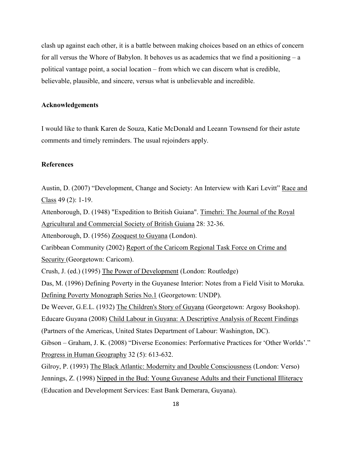clash up against each other, it is a battle between making choices based on an ethics of concern for all versus the Whore of Babylon. It behoves us as academics that we find a positioning  $-a$ political vantage point, a social location – from which we can discern what is credible, believable, plausible, and sincere, versus what is unbelievable and incredible.

#### **Acknowledgements**

I would like to thank Karen de Souza, Katie McDonald and Leeann Townsend for their astute comments and timely reminders. The usual rejoinders apply.

### **References**

Austin, D. (2007) "Development, Change and Society: An Interview with Kari Levitt" Race and Class 49 (2): 1-19.

Attenborough, D. (1948) "Expedition to British Guiana". Timehri: The Journal of the Royal Agricultural and Commercial Society of British Guiana 28: 32-36.

Attenborough, D. (1956) Zooquest to Guyana (London).

Caribbean Community (2002) Report of the Caricom Regional Task Force on Crime and Security (Georgetown: Caricom).

Crush, J. (ed.) (1995) The Power of Development (London: Routledge)

Das, M. (1996) Defining Poverty in the Guyanese Interior: Notes from a Field Visit to Moruka. Defining Poverty Monograph Series No.1 (Georgetown: UNDP).

De Weever, G.E.L. (1932) The Children's Story of Guyana (Georgetown: Argosy Bookshop). Educare Guyana (2008) Child Labour in Guyana: A Descriptive Analysis of Recent Findings (Partners of the Americas, United States Department of Labour: Washington, DC). Gibson – Graham, J. K. (2008) "Diverse Economies: Performative Practices for "Other Worlds"." Progress in Human Geography 32 (5): 613-632.

Gilroy, P. (1993) The Black Atlantic: Modernity and Double Consciousness (London: Verso) Jennings, Z. (1998) Nipped in the Bud: Young Guyanese Adults and their Functional Illiteracy (Education and Development Services: East Bank Demerara, Guyana).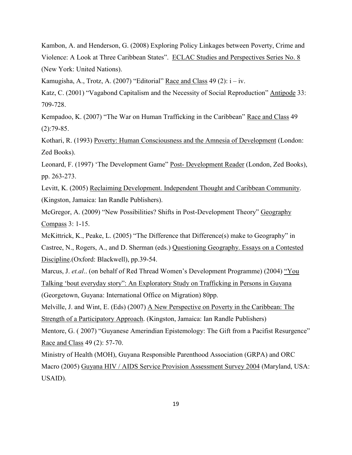Kambon, A. and Henderson, G. (2008) Exploring Policy Linkages between Poverty, Crime and Violence: A Look at Three Caribbean States". ECLAC Studies and Perspectives Series No. 8 (New York: United Nations).

Kamugisha, A., Trotz, A. (2007) "Editorial" Race and Class  $49$  (2):  $i - iv$ .

Katz, C. (2001) "Vagabond Capitalism and the Necessity of Social Reproduction" Antipode 33: 709-728.

Kempadoo, K. (2007) "The War on Human Trafficking in the Caribbean" Race and Class 49  $(2):79-85.$ 

Kothari, R. (1993) Poverty: Human Consciousness and the Amnesia of Development (London: Zed Books).

Leonard, F. (1997) "The Development Game" Post- Development Reader (London, Zed Books), pp. 263-273.

Levitt, K. (2005) Reclaiming Development. Independent Thought and Caribbean Community. (Kingston, Jamaica: Ian Randle Publishers).

McGregor, A. (2009) "New Possibilities? Shifts in Post-Development Theory" Geography Compass 3: 1-15.

McKittrick, K., Peake, L. (2005) "The Difference that Difference(s) make to Geography" in

Castree, N., Rogers, A., and D. Sherman (eds.) Questioning Geography. Essays on a Contested Discipline.(Oxford: Blackwell), pp.39-54.

Marcus, J. *et.al.*. (on behalf of Red Thread Women's Development Programme) (2004) "You Talking "bout everyday story": An Exploratory Study on Trafficking in Persons in Guyana (Georgetown, Guyana: International Office on Migration) 80pp.

Melville, J. and Wint, E. (Eds) (2007) A New Perspective on Poverty in the Caribbean: The Strength of a Participatory Approach. (Kingston, Jamaica: Ian Randle Publishers)

Mentore, G. ( 2007) "Guyanese Amerindian Epistemology: The Gift from a Pacifist Resurgence" Race and Class 49 (2): 57-70.

Ministry of Health (MOH), Guyana Responsible Parenthood Association (GRPA) and ORC Macro (2005) Guyana HIV / AIDS Service Provision Assessment Survey 2004 (Maryland, USA: USAID).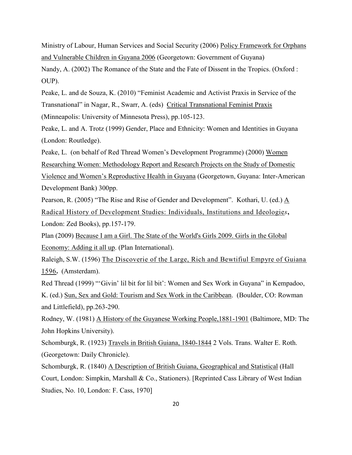Ministry of Labour, Human Services and Social Security (2006) Policy Framework for Orphans and Vulnerable Children in Guyana 2006 (Georgetown: Government of Guyana)

Nandy, A. (2002) The Romance of the State and the Fate of Dissent in the Tropics. (Oxford : OUP).

Peake, L. and de Souza, K. (2010) "Feminist Academic and Activist Praxis in Service of the Transnational" in Nagar, R., Swarr, A. (eds) Critical Transnational Feminist Praxis (Minneapolis: University of Minnesota Press), pp.105-123.

Peake, L. and A. Trotz (1999) Gender, Place and Ethnicity: Women and Identities in Guyana (London: Routledge).

Peake, L. (on behalf of Red Thread Women"s Development Programme) (2000) Women Researching Women: Methodology Report and Research Projects on the Study of Domestic Violence and Women"s Reproductive Health in Guyana (Georgetown, Guyana: Inter-American Development Bank) 300pp.

Pearson, R. (2005) "The Rise and Rise of Gender and Development". Kothari, U. (ed.) A Radical History of Development Studies: Individuals, Institutions and Ideologie*s***,** London: Zed Books), pp.157-179.

Plan (2009) Because I am a Girl. The State of the World's Girls 2009. Girls in the Global Economy: Adding it all up. (Plan International).

Raleigh, S.W. (1596) The Discoverie of the Large, Rich and Bewtifiul Empyre of Guiana 1596**.** (Amsterdam).

Red Thread (1999) ""Givin" lil bit for lil bit": Women and Sex Work in Guyana" in Kempadoo, K. (ed.) Sun, Sex and Gold: Tourism and Sex Work in the Caribbean. (Boulder, CO: Rowman and Littlefield), pp.263-290.

Rodney, W. (1981) A History of the Guyanese Working People,1881-1901 (Baltimore, MD: The John Hopkins University).

Schomburgk, R. (1923) Travels in British Guiana, 1840-1844 2 Vols. Trans. Walter E. Roth. (Georgetown: Daily Chronicle).

Schomburgk, R. (1840) A Description of British Guiana, Geographical and Statistical (Hall Court, London: Simpkin, Marshall & Co., Stationers). [Reprinted Cass Library of West Indian Studies, No. 10, London: F. Cass, 1970]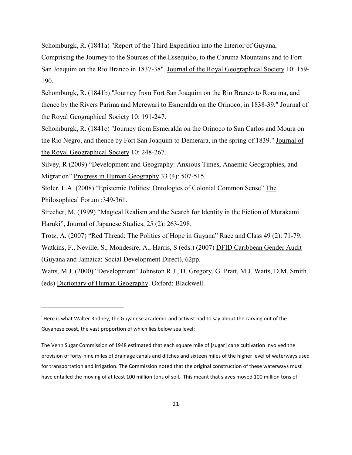Schomburgk, R. (1841a) "Report of the Third Expedition into the Interior of Guyana, Comprising the Journey to the Sources of the Essequibo, to the Caruma Mountains and to Fort San Joaquim on the Rio Branco in 1837-38". Journal of the Royal Geographical Society 10: 159- 190.

Schomburgk, R. (1841b) "Journey from Fort San Joaquim on the Rio Branco to Roraima, and thence by the Rivers Parima and Merewari to Esmeralda on the Orinoco, in 1838-39." Journal of the Royal Geographical Society 10: 191-247.

Schomburgk, R. (1841c) "Journey from Esmeralda on the Orinoco to San Carlos and Moura on the Rio Negro, and thence by Fort San Joaquim to Demerara, in the spring of 1839." Journal of the Royal Geographical Society 10: 248-267.

Silvey, R (2009) "Development and Geography: Anxious Times, Anaemic Geographies, and Migration" Progress in Human Geography 33 (4): 507-515.

Stoler, L.A. (2008) "Epistemic Politics: Ontologies of Colonial Common Sense" The Philosophical Forum :349-361.

Strecher, M. (1999) "Magical Realism and the Search for Identity in the Fiction of Murakami Haruki", Journal of Japanese Studies, 25 (2): 263-298.

Trotz, A. (2007) "Red Thread: The Politics of Hope in Guyana" Race and Class 49 (2): 71-79.

Watkins, F., Neville, S., Mondesire, A., Harris, S (eds.) (2007) DFID Caribbean Gender Audit (Guyana and Jamaica: Social Development Direct), 62pp.

Watts, M.J. (2000) "Development".Johnston R.J., D. Gregory, G. Pratt, M.J. Watts, D.M. Smith. (eds) Dictionary of Human Geography. Oxford: Blackwell.

 $\overline{a}$ 

<sup>&</sup>lt;sup>i</sup> Here is what Walter Rodney, the Guyanese academic and activist had to say about the carving out of the Guyanese coast, the vast proportion of which lies below sea level:

The Venn Sugar Commission of 1948 estimated that each square mile of [sugar] cane cultivation involved the provision of forty-nine miles of drainage canals and ditches and sixteen miles of the higher level of waterways used for transportation and irrigation. The Commission noted that the original construction of these waterways must have entailed the moving of at least 100 million tons of soil. This meant that slaves moved 100 million tons of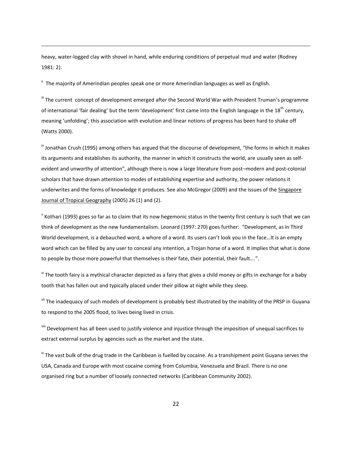heavy, water-logged clay with shovel in hand, while enduring conditions of perpetual mud and water (Rodney 1981: 2).

" The majority of Amerindian peoples speak one or more Amerindian languages as well as English.

 $\overline{a}$ 

iii The current concept of development emerged after the Second World War with President Truman's programme of international 'fair dealing' but the term 'development' first came into the English language in the  $18<sup>th</sup>$  century, meaning 'unfolding'; this association with evolution and linear notions of progress has been hard to shake off (Watts 2000).

 $\frac{1}{10}$  Jonathan Crush (1995) among others has argued that the discourse of development, "the forms in which it makes its arguments and establishes its authority, the manner in which it constructs the world, are usually seen as selfevident and unworthy of attention", although there is now a large literature from post–modern and post-colonial scholars that have drawn attention to modes of establishing expertise and authority, the power relations it underwrites and the forms of knowledge it produces. See also McGregor (2009) and the issues of the Singapore Journal of Tropical Geography (2005) 26 (1) and (2).

 $^{\text{v}}$  Kothari (1993) goes so far as to claim that its now hegemonic status in the twenty first century is such that we can think of development as the new fundamentalism. Leonard (1997: 270) goes further: "Development, as in Third World development, is a debauched word, a whore of a word. Its users can't look you in the face…It is an empty word which can be filled by any user to conceal any intention, a Trojan horse of a word. It implies that what is done to people by those more powerful that themselves is their fate, their potential, their fault....".

v<sup>i</sup> The tooth fairy is a mythical character depicted as a fairy that gives a child money or gifts in exchange for a baby tooth that has fallen out and typically placed under their pillow at night while they sleep.

vii The inadequacy of such models of development is probably best illustrated by the inability of the PRSP in Guyana to respond to the 2005 flood, to lives being lived in crisis.

viii Development has all been used to justify violence and injustice through the imposition of unequal sacrifices to extract external surplus by agencies such as the market and the state.

 $\frac{1}{10}$  The vast bulk of the drug trade in the Caribbean is fuelled by cocaine. As a transhipment point Guyana serves the USA, Canada and Europe with most cocaine coming from Columbia, Venezuela and Brazil. There is no one organised ring but a number of loosely connected networks (Caribbean Community 2002).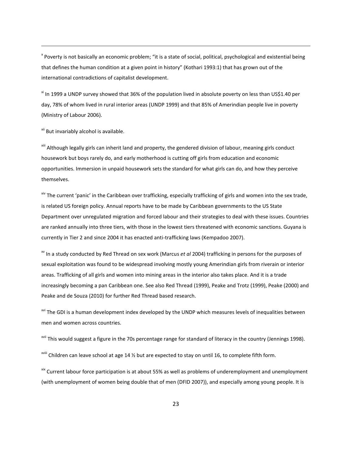<sup>x</sup> Poverty is not basically an economic problem; "it is a state of social, political, psychological and existential being that defines the human condition at a given point in history" (Kothari 1993:1) that has grown out of the international contradictions of capitalist development.

<sup>xi</sup> In 1999 a UNDP survey showed that 36% of the population lived in absolute poverty on less than US\$1.40 per day, 78% of whom lived in rural interior areas (UNDP 1999) and that 85% of Amerindian people live in poverty (Ministry of Labour 2006).

<sup>xii</sup> But invariably alcohol is available.

 $\overline{a}$ 

xiii Although legally girls can inherit land and property, the gendered division of labour, meaning girls conduct housework but boys rarely do, and early motherhood is cutting off girls from education and economic opportunities. Immersion in unpaid housework sets the standard for what girls can do, and how they perceive themselves.

<sup>xiv</sup> The current 'panic' in the Caribbean over trafficking, especially trafficking of girls and women into the sex trade, is related US foreign policy. Annual reports have to be made by Caribbean governments to the US State Department over unregulated migration and forced labour and their strategies to deal with these issues. Countries are ranked annually into three tiers, with those in the lowest tiers threatened with economic sanctions. Guyana is currently in Tier 2 and since 2004 it has enacted anti-trafficking laws (Kempadoo 2007).

xv In a study conducted by Red Thread on sex work (Marcus *et al* 2004) trafficking in persons for the purposes of sexual exploitation was found to be widespread involving mostly young Amerindian girls from riverain or interior areas. Trafficking of all girls and women into mining areas in the interior also takes place. And it is a trade increasingly becoming a pan Caribbean one. See also Red Thread (1999), Peake and Trotz (1999), Peake (2000) and Peake and de Souza (2010) for further Red Thread based research.

<sup>xvi</sup> The GDI is a human development index developed by the UNDP which measures levels of inequalities between men and women across countries.

<sup>xvii</sup> This would suggest a figure in the 70s percentage range for standard of literacy in the country (Jennings 1998).

<sup>xviii</sup> Children can leave school at age 14 % but are expected to stay on until 16, to complete fifth form.

xix Current labour force participation is at about 55% as well as problems of underemployment and unemployment (with unemployment of women being double that of men (DFID 2007)), and especially among young people. It is